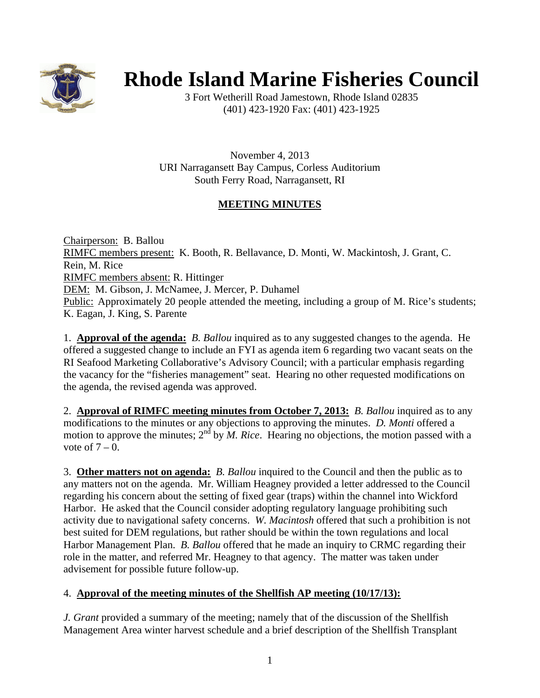

# **Rhode Island Marine Fisheries Council**

3 Fort Wetherill Road Jamestown, Rhode Island 02835 (401) 423-1920 Fax: (401) 423-1925

November 4, 2013 URI Narragansett Bay Campus, Corless Auditorium South Ferry Road, Narragansett, RI

## **MEETING MINUTES**

Chairperson: B. Ballou RIMFC members present: K. Booth, R. Bellavance, D. Monti, W. Mackintosh, J. Grant, C. Rein, M. Rice RIMFC members absent: R. Hittinger DEM: M. Gibson, J. McNamee, J. Mercer, P. Duhamel Public: Approximately 20 people attended the meeting, including a group of M. Rice's students; K. Eagan, J. King, S. Parente

1. **Approval of the agenda:** *B. Ballou* inquired as to any suggested changes to the agenda. He offered a suggested change to include an FYI as agenda item 6 regarding two vacant seats on the RI Seafood Marketing Collaborative's Advisory Council; with a particular emphasis regarding the vacancy for the "fisheries management" seat. Hearing no other requested modifications on the agenda, the revised agenda was approved.

2. **Approval of RIMFC meeting minutes from October 7, 2013:** *B. Ballou* inquired as to any modifications to the minutes or any objections to approving the minutes. *D. Monti* offered a motion to approve the minutes;  $2^{nd}$  by M. Rice. Hearing no objections, the motion passed with a vote of  $7 - 0$ .

3. **Other matters not on agenda:** *B. Ballou* inquired to the Council and then the public as to any matters not on the agenda. Mr. William Heagney provided a letter addressed to the Council regarding his concern about the setting of fixed gear (traps) within the channel into Wickford Harbor. He asked that the Council consider adopting regulatory language prohibiting such activity due to navigational safety concerns. *W. Macintosh* offered that such a prohibition is not best suited for DEM regulations, but rather should be within the town regulations and local Harbor Management Plan. *B. Ballou* offered that he made an inquiry to CRMC regarding their role in the matter, and referred Mr. Heagney to that agency. The matter was taken under advisement for possible future follow-up.

#### 4. **Approval of the meeting minutes of the Shellfish AP meeting (10/17/13):**

*J. Grant* provided a summary of the meeting; namely that of the discussion of the Shellfish Management Area winter harvest schedule and a brief description of the Shellfish Transplant